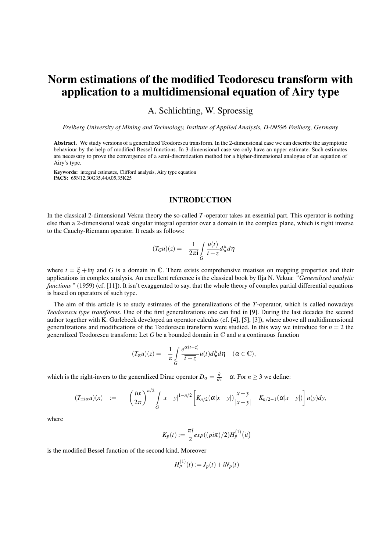# Norm estimations of the modified Teodorescu transform with application to a multidimensional equation of Airy type

A. Schlichting, W. Sproessig

*Freiberg University of Mining and Technology, Institute of Applied Analysis, D-09596 Freiberg, Germany*

Abstract. We study versions of a generalized Teodorescu transform. In the 2-dimensional case we can describe the asymptotic behaviour by the help of modified Bessel functions. In 3-dimensional case we only have an upper estimate. Such estimates are necessary to prove the convergence of a semi-discretization method for a higher-dimensional analogue of an equation of Airy's type.

Keywords: integral estimates, Clifford analysis, Airy type equation PACS: 65N12,30G35,44A05,35K25

#### INTRODUCTION

In the classical 2-dimensional Vekua theory the so-called *T*-operator takes an essential part. This operator is nothing else than a 2-dimensional weak singular integral operator over a domain in the complex plane, which is right inverse to the Cauchy-Riemann operator. It reads as follows:

$$
(T_G u)(z) = -\frac{1}{2\pi i} \int\limits_G \frac{u(t)}{t - z} d\xi d\eta
$$

where  $t = \xi + i\eta$  and *G* is a domain in C. There exists comprehensive treatises on mapping properties and their applications in complex analysis. An excellent reference is the classical book by Ilja N. Vekua: *"Generalized analytic functions* " (1959) (cf. [11]). It isn't exaggerated to say, that the whole theory of complex partial differential equations is based on operators of such type.

The aim of this article is to study estimates of the generalizations of the *T*-operator, which is called nowadays *Teodorescu type transforms*. One of the first generalizations one can find in [9]. During the last decades the second author together with K. Gürlebeck developed an operator calculus (cf. [4], [5], [3]), where above all multidimensional generalizations and modifications of the Teodorescu transform were studied. In this way we introduce for  $n = 2$  the generalized Teodorescu transform: Let *G* be a bounded domain in C and *u* a continuous function

$$
(T_{\alpha}u)(z)=-\frac{1}{\pi}\int\limits_{G}\frac{e^{\alpha(t-z)}}{t-z}u(t)d\xi d\eta \quad (\alpha\in\mathbb{C}),
$$

which is the right-invers to the generalized Dirac operator  $D_{\alpha} = \frac{\partial}{\partial z} + \alpha$ . For  $n \ge 3$  we define:

$$
(T_{\pm i\alpha}u)(x) \quad := \quad -\left(\frac{i\alpha}{2\pi}\right)^{n/2} \int\limits_{G} |x-y|^{1-n/2} \left[K_{n/2}(\alpha|x-y|) \frac{x-y}{|x-y|} - K_{n/2-1}(\alpha|x-y|) \right] u(y) dy,
$$

where

$$
K_p(t) := \frac{\pi i}{2} exp((pi\pi)/2)H_p^{(1)}(it)
$$

is the modified Bessel function of the second kind. Moreover

$$
H_p^{(1)}(t) := J_p(t) + iN_p(t)
$$

 $(1)$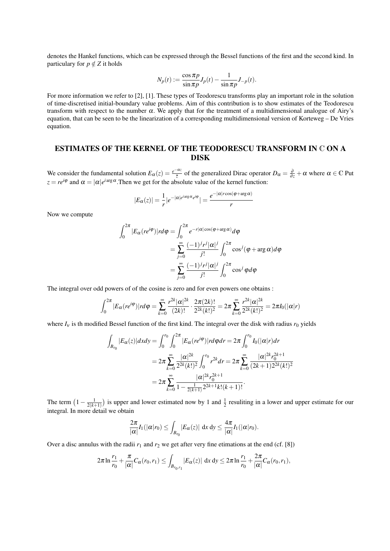denotes the Hankel functions, which can be expressed through the Bessel functions of the first and the second kind. In particulary for  $p \notin Z$  it holds

$$
N_p(t) := \frac{\cos \pi p}{\sin \pi p} J_p(t) - \frac{1}{\sin \pi p} J_{-p}(t).
$$

For more information we refer to [2], [1]. These types of Teodorescu transforms play an important role in the solution of time-discretised initial-boundary value problems. Aim of this contribution is to show estimates of the Teodorescu transform with respect to the number α. We apply that for the treatment of a multidimensional analogue of Airy's equation, that can be seen to be the linearization of a corresponding multidimensional version of Korteweg – De Vries equation.

## ESTIMATES OF THE KERNEL OF THE TEODORESCU TRANSFORM IN C ON A DISK

We consider the fundamental solution  $E_{\alpha}(z) = \frac{e^{-\alpha z}}{\overline{z}}$  $\frac{\alpha_z}{\overline{z}}$  of the generalized Dirac operator *D*α =  $\frac{\partial}{\partial z}$  + α where α ∈ **C** Put  $z = re^{i\varphi}$  and  $\alpha = |\alpha|e^{i\arg \alpha}$ . Then we get for the absolute value of the kernel function:

$$
|E_{\alpha}(z)| = \frac{1}{r} |e^{-|\alpha|e^{i \arg \alpha} e^{i \varphi}}| = \frac{e^{-|\alpha| r \cos(\varphi + \arg \alpha)}}{r}
$$

Now we compute

$$
\int_0^{2\pi} |E_{\alpha}(re^{i\varphi})| r d\varphi = \int_0^{2\pi} e^{-r|\alpha|\cos(\varphi + \arg \alpha)} d\varphi
$$
  
= 
$$
\sum_{j=0}^{\infty} \frac{(-1)^j r^j |\alpha|^j}{j!} \int_0^{2\pi} \cos^j(\varphi + \arg \alpha) d\varphi
$$
  
= 
$$
\sum_{j=0}^{\infty} \frac{(-1)^j r^j |\alpha|^j}{j!} \int_0^{2\pi} \cos^j \varphi d\varphi
$$

The integral over odd powers of of the cosine is zero and for even powers one obtains :

$$
\int_0^{2\pi} |E_\alpha(re^{i\varphi})| r d\varphi = \sum_{k=0}^\infty \frac{r^{2k} |\alpha|^{2k}}{(2k)!} \cdot \frac{2\pi (2k)!}{2^{2k}(k!)^2} = 2\pi \sum_{k=0}^\infty \frac{r^{2k} |\alpha|^{2k}}{2^{2k}(k!)^2} = 2\pi I_0(|\alpha|r)
$$

where  $I_V$  is th modified Bessel function of the first kind. The integral over the disk with radius  $r_0$  yields

$$
\int_{B_{r_0}} |E_{\alpha}(z)| dx dy = \int_0^{r_0} \int_0^{2\pi} |E_{\alpha}(re^{i\varphi})| r d\varphi dr = 2\pi \int_0^{r_0} I_0(|\alpha| r) dr
$$
  

$$
= 2\pi \sum_{k=0}^{\infty} \frac{|\alpha|^{2k}}{2^{2k}(k!)^2} \int_0^{r_0} r^{2k} dr = 2\pi \sum_{k=0}^{\infty} \frac{|\alpha|^{2k} r_0^{2k+1}}{(2k+1)2^{2k}(k!)^2}
$$
  

$$
= 2\pi \sum_{k=0}^{\infty} \frac{|\alpha|^{2k} r_0^{2k+1}}{1 - \frac{1}{2(k+1)} 2^{2k+1} k! (k+1)!}.
$$

The term  $(1 - \frac{1}{2(k+1)})$  is upper and lower estimated now by 1 and  $\frac{1}{2}$  resuliting in a lower and upper estimate for our integral. In more detail we obtain

$$
\frac{2\pi}{|\alpha|}I_1(|\alpha|r_0)\leq \int_{B_{r_0}}|E_{\alpha}(z)|\,\mathrm{d} x\,\mathrm{d} y\leq \frac{4\pi}{|\alpha|}I_1(|\alpha|r_0).
$$

Over a disc annulus with the radii  $r_1$  and  $r_2$  we get after very fine etimations at the end (cf. [8])

$$
2\pi \ln \frac{r_1}{r_0} + \frac{\pi}{|\alpha|} C_{\alpha}(r_0, r_1) \leq \int_{B_{r_0, r_1}} |E_{\alpha}(z)| \, dx \, dy \leq 2\pi \ln \frac{r_1}{r_0} + \frac{2\pi}{|\alpha|} C_{\alpha}(r_0, r_1),
$$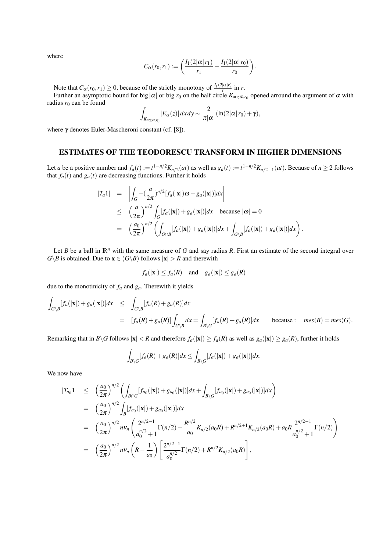where

$$
C_{\alpha}(r_0,r_1):=\left(\frac{I_1(2|\alpha|r_1)}{r_1}-\frac{I_1(2|\alpha|r_0)}{r_0}\right).
$$

Note that  $C_{\alpha}(r_0, r_1) \geq 0$ , because of the strictly monotony of  $\frac{I_1(2|\alpha|r)}{r}$  in *r*.

Further an asymptotic bound for big  $|\alpha|$  or big  $r_0$  on the half circle  $K_{\arg \alpha,r_0}$  opened arround the argument of  $\alpha$  with radius  $r_0$  can be found

$$
\int_{K_{\arg\alpha,r_0}} |E_{\alpha}(z)| dx dy \sim \frac{2}{\pi|\alpha|} (\ln(2|\alpha| r_0) + \gamma),
$$

where  $\gamma$  denotes Euler-Mascheroni constant (cf. [8]).

## ESTIMATES OF THE TEODORESCU TRANSFORM IN HIGHER DIMENSIONS

Let *a* be a positive number and  $f_a(t) := t^{1-n/2} K_{n/2}(at)$  as well as  $g_a(t) := t^{1-n/2} K_{n/2-1}(at)$ . Because of  $n \ge 2$  follows that  $f_a(t)$  and  $g_a(t)$  are decreasing functions. Further it holds

$$
|T_a1| = \left| \int_G -\left(\frac{a}{2\pi}\right)^{n/2} [f_a(|\mathbf{x}|) \omega - g_a(|\mathbf{x}|)] dx \right|
$$
  
\n
$$
\leq \left( \frac{a}{2\pi} \right)^{n/2} \int_G [f_a(|\mathbf{x}|) + g_a(|\mathbf{x}|)] dx \text{ because } |\omega| = 0
$$
  
\n
$$
= \left( \frac{a_0}{2\pi} \right)^{n/2} \left( \int_{G \cap B} [f_a(|\mathbf{x}|) + g_a(|\mathbf{x}|)] dx + \int_{G \setminus B} [f_a(|\mathbf{x}|) + g_a(|\mathbf{x}|)] dx \right).
$$

Let *B* be a ball in  $\mathbb{R}^n$  with the same measure of *G* and say radius *R*. First an estimate of the second integral over *G*\*B* is obtained. Due to  $\mathbf{x} \in (G \setminus B)$  follows  $|\mathbf{x}| > R$  and therewith

$$
f_a(|\mathbf{x}|) \le f_a(R)
$$
 and  $g_a(|\mathbf{x}|) \le g_a(R)$ 

due to the monotinicity of *f<sup>a</sup>* and *ga*. Therewith it yields

$$
\int_{G\setminus B} [f_a(|\mathbf{x}|) + g_a(|\mathbf{x}|)]dx \leq \int_{G\setminus B} [f_a(R) + g_a(R)]dx
$$
  
= 
$$
[f_a(R) + g_a(R)] \int_{G\setminus B} dx = \int_{B\setminus G} [f_a(R) + g_a(R)]dx
$$
 because:  $mes(B) = mes(G).$ 

Remarking that in *B*\*G* follows  $|x| < R$  and therefore  $f_a(|x|) \ge f_a(R)$  as well as  $g_a(|x|) \ge g_a(R)$ , further it holds

$$
\int_{B\setminus G} [f_a(R)+g_a(R)]dx \leq \int_{B\setminus G} [f_a(|\mathbf{x}|)+g_a(|\mathbf{x}|)]dx.
$$

We now have

$$
|T_{a_0}1| \leq \left(\frac{a_0}{2\pi}\right)^{n/2} \left(\int_{B\cap G} [f_{a_0}(|\mathbf{x}|) + g_{a_0}(|\mathbf{x}|)] dx + \int_{B\setminus G} [f_{a_0}(|\mathbf{x}|) + g_{a_0}(|\mathbf{x}|)] dx\right)
$$
  
\n
$$
= \left(\frac{a_0}{2\pi}\right)^{n/2} \int_B [f_{a_0}(|\mathbf{x}|) + g_{a_0}(|\mathbf{x}|)] dx
$$
  
\n
$$
= \left(\frac{a_0}{2\pi}\right)^{n/2} n v_n \left(\frac{2^{n/2-1}}{a_0^{n/2}+1} \Gamma(n/2) - \frac{R^{n/2}}{a_0} K_{n/2}(a_0 R) + R^{n/2+1} K_{n/2}(a_0 R) + a_0 R \frac{2^{n/2-1}}{a_0^{n/2}+1} \Gamma(n/2)\right)
$$
  
\n
$$
= \left(\frac{a_0}{2\pi}\right)^{n/2} n v_n \left(R - \frac{1}{a_0}\right) \left[\frac{2^{n/2-1}}{a_0^{n/2}} \Gamma(n/2) + R^{n/2} K_{n/2}(a_0 R)\right],
$$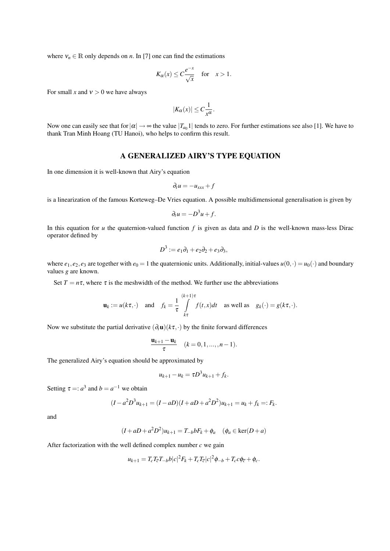where  $v_n \in \mathbb{R}$  only depends on *n*. In [7] one can find the estimations

$$
K_{\alpha}(x) \leq C \frac{e^{-x}}{\sqrt{x}} \quad \text{for} \quad x > 1.
$$

For small *x* and  $v > 0$  we have always

$$
|K_{\alpha}(x)| \leq C \frac{1}{x^{\alpha}}.
$$

Now one can easily see that for  $|\alpha| \to \infty$  the value  $|T_{a_0}1|$  tends to zero. For further estimations see also [1]. We have to thank Tran Minh Hoang (TU Hanoi), who helps to confirm this result.

### A GENERALIZED AIRY'S TYPE EQUATION

In one dimension it is well-known that Airy's equation

$$
\partial_t u = -u_{xxx} + f
$$

is a linearization of the famous Korteweg–De Vries equation. A possible multidimensional generalisation is given by

$$
\partial_t u = -D^3 u + f.
$$

In this equation for *u* the quaternion-valued function *f* is given as data and *D* is the well-known mass-less Dirac operator defined by

$$
D^3 := e_1\partial_1 + e_2\partial_2 + e_3\partial_3,
$$

where  $e_1, e_2, e_3$  are together with  $e_0 = 1$  the quaternionic units. Additionally, initial-values  $u(0, \cdot) = u_0(\cdot)$  and boundary values *g* are known.

Set  $T = n\tau$ , where  $\tau$  is the meshwidth of the method. We further use the abbreviations

$$
\mathbf{u}_k := u(k\tau, \cdot) \quad \text{and} \quad f_k = \frac{1}{\tau} \int_{k\tau}^{(k+1)\tau} f(t, x) dt \quad \text{as well as} \quad g_k(\cdot) = g(k\tau, \cdot).
$$

Now we substitute the partial derivative  $(\partial_t \mathbf{u})(k\tau, \cdot)$  by the finite forward differences

$$
\frac{\mathbf{u}_{k+1}-\mathbf{u}_k}{\tau} \quad (k=0,1,\ldots,n-1).
$$

The generalized Airy's equation should be approximated by

$$
u_{k+1} - u_k = \tau D^3 u_{k+1} + f_k.
$$

Setting  $\tau =: a^3$  and  $b = a^{-1}$  we obtain

$$
(I - a2D3uk+1 = (I - aD)(I + aD + a2D2)uk+1 = uk + fk =: Fk.
$$

and

$$
(I + aD + a^{2}D^{2})u_{k+1} = T_{-b}bF_{k} + \phi_{a} \quad (\phi_{a} \in \text{ker}(D + a))
$$

After factorization with the well defined complex number *c* we gain

$$
u_{k+1} = T_c T_{\overline{c}} T_{-b} b |c|^2 F_k + T_c T_{\overline{c}} |c|^2 \phi_{-b} + T_c c \phi_{\overline{c}} + \phi_c.
$$